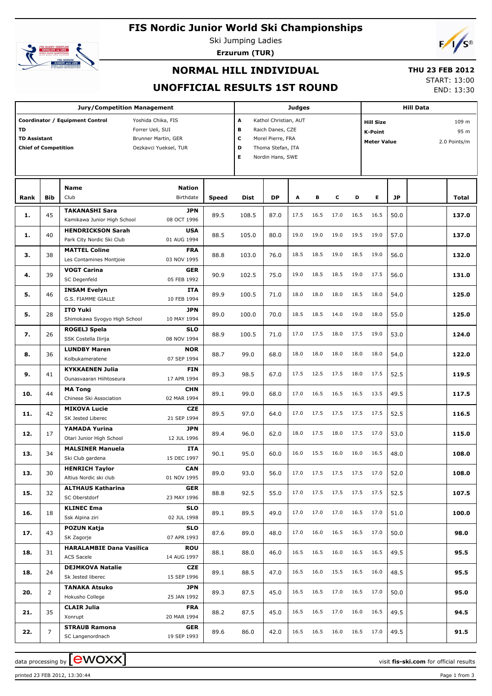# **FIS Nordic Junior World Ski Championships**



Ski Jumping Ladies

**Erzurum (TUR)**



## **NORMAL HILL INDIVIDUAL**

## **THU 23 FEB 2012**

## **UNOFFICIAL RESULTS 1ST ROUND**

START: 13:00 END: 13:30

|                                                                 |                | <b>Jury/Competition Management</b>                                                                                        |                           |              |                       |                                                                                                         | <b>Judges</b> |           |      |      |                                                          |      | <b>Hill Data</b>              |       |
|-----------------------------------------------------------------|----------------|---------------------------------------------------------------------------------------------------------------------------|---------------------------|--------------|-----------------------|---------------------------------------------------------------------------------------------------------|---------------|-----------|------|------|----------------------------------------------------------|------|-------------------------------|-------|
| <b>TD</b><br><b>TD Assistant</b><br><b>Chief of Competition</b> |                | Coordinator / Equipment Control<br>Yoshida Chika, FIS<br>Forrer Ueli, SUI<br>Brunner Martin, GER<br>Oezkavci Yueksel, TUR |                           |              | A<br>в<br>c<br>D<br>Е | Kathol Christian, AUT<br>Raich Danes, CZE<br>Morel Pierre, FRA<br>Thoma Stefan, ITA<br>Nordin Hans, SWE |               |           |      |      | <b>Hill Size</b><br><b>K-Point</b><br><b>Meter Value</b> |      | 109 m<br>95 m<br>2.0 Points/m |       |
|                                                                 |                | Name                                                                                                                      | Nation                    |              |                       |                                                                                                         |               |           |      |      |                                                          |      |                               |       |
| Rank                                                            | <b>Bib</b>     | Club                                                                                                                      | <b>Birthdate</b>          | <b>Speed</b> | Dist                  | DP                                                                                                      | A             | в         | c    | D    | Е                                                        | JP   |                               | Total |
| 1.                                                              | 45             | <b>TAKANASHI Sara</b><br>Kamikawa Junior High School                                                                      | JPN<br>08 OCT 1996        | 89.5         | 108.5                 | 87.0                                                                                                    | 17.5          | 16.5      | 17.0 | 16.5 | 16.5                                                     | 50.0 |                               | 137.0 |
| 1.                                                              | 40             | <b>HENDRICKSON Sarah</b><br>Park City Nordic Ski Club                                                                     | <b>USA</b><br>01 AUG 1994 | 88.5         | 105.0                 | 80.0                                                                                                    | 19.0          | 19.0      | 19.0 | 19.5 | 19.0                                                     | 57.0 |                               | 137.0 |
| з.                                                              | 38             | <b>MATTEL Coline</b><br>Les Contamines Montjoie                                                                           | <b>FRA</b><br>03 NOV 1995 | 88.8         | 103.0                 | 76.0                                                                                                    | 18.5          | 18.5      | 19.0 | 18.5 | 19.0                                                     | 56.0 |                               | 132.0 |
| 4.                                                              | 39             | <b>VOGT Carina</b><br>SC Degenfeld                                                                                        | GER<br>05 FEB 1992        | 90.9         | 102.5                 | 75.0                                                                                                    | 19.0          | 18.5      | 18.5 | 19.0 | 17.5                                                     | 56.0 |                               | 131.0 |
| 5.                                                              | 46             | <b>INSAM Evelyn</b><br>G.S. FIAMME GIALLE                                                                                 | ITA<br>10 FEB 1994        | 89.9         | 100.5                 | 71.0                                                                                                    | 18.0          | 18.0      | 18.0 | 18.5 | 18.0                                                     | 54.0 |                               | 125.0 |
| 5.                                                              | 28             | <b>ITO Yuki</b><br>Shimokawa Syogyo High School                                                                           | JPN<br>10 MAY 1994        | 89.0         | 100.0                 | 70.0                                                                                                    | 18.5          | 18.5      | 14.0 | 19.0 | 18.0                                                     | 55.0 |                               | 125.0 |
| 7.                                                              | 26             | ROGELJ Spela<br>SSK Costella Ilirija                                                                                      | <b>SLO</b><br>08 NOV 1994 | 88.9         | 100.5                 | 71.0                                                                                                    | 17.0          | 17.5      | 18.0 | 17.5 | 19.0                                                     | 53.0 |                               | 124.0 |
| 8.                                                              | 36             | <b>LUNDBY Maren</b><br>Kolbukameratene                                                                                    | <b>NOR</b><br>07 SEP 1994 | 88.7         | 99.0                  | 68.0                                                                                                    | 18.0          | 18.0      | 18.0 | 18.0 | 18.0                                                     | 54.0 |                               | 122.0 |
| 9.                                                              | 41             | <b>KYKKAENEN Julia</b><br>Ounasvaaran Hiihtoseura                                                                         | <b>FIN</b><br>17 APR 1994 | 89.3         | 98.5                  | 67.0                                                                                                    | 17.5          | 12.5      | 17.5 | 18.0 | 17.5                                                     | 52.5 |                               | 119.5 |
| 10.                                                             | 44             | <b>MA Tong</b><br>Chinese Ski Association                                                                                 | <b>CHN</b><br>02 MAR 1994 | 89.1         | 99.0                  | 68.0                                                                                                    | 17.0          | 16.5      | 16.5 | 16.5 | 13.5                                                     | 49.5 |                               | 117.5 |
| 11.                                                             | 42             | <b>MIKOVA Lucie</b><br>SK Jested Liberec                                                                                  | <b>CZE</b><br>21 SEP 1994 | 89.5         | 97.0                  | 64.0                                                                                                    | 17.0          | 17.5      | 17.5 | 17.5 | 17.5                                                     | 52.5 |                               | 116.5 |
| 12.                                                             | 17             | YAMADA Yurina<br>Otari Junior High School                                                                                 | JPN<br>12 JUL 1996        | 89.4         | 96.0                  | 62.0                                                                                                    | 18.0          | 17.5      | 18.0 | 17.5 | 17.0                                                     | 53.0 |                               | 115.0 |
| 13.                                                             | 34             | <b>MALSINER Manuela</b><br>Ski Club gardena                                                                               | <b>ITA</b><br>15 DEC 1997 | 90.1         | 95.0                  | 60.0                                                                                                    | 16.0          | 15.5      | 16.0 | 16.0 | 16.5                                                     | 48.0 |                               | 108.0 |
| 13.                                                             | 30             | <b>HENRICH Taylor</b><br>Altius Nordic ski club                                                                           | <b>CAN</b><br>01 NOV 1995 | 89.0         | 93.0                  | 56.0                                                                                                    |               |           |      |      | 17.0  17.5  17.5  17.5  17.0                             | 52.0 |                               | 108.0 |
| 15.                                                             | 32             | <b>ALTHAUS Katharina</b><br>SC Oberstdorf                                                                                 | <b>GER</b><br>23 MAY 1996 | 88.8         | 92.5                  | 55.0                                                                                                    | 17.0          | 17.5 17.5 |      |      | 17.5 17.5                                                | 52.5 |                               | 107.5 |
| 16.                                                             | 18             | <b>KLINEC Ema</b><br>Ssk Alpina ziri                                                                                      | <b>SLO</b><br>02 JUL 1998 | 89.1         | 89.5                  | 49.0                                                                                                    | 17.0          | 17.0      | 17.0 | 16.5 | 17.0                                                     | 51.0 |                               | 100.0 |
| 17.                                                             | 43             | POZUN Katja<br>SK Zagorje                                                                                                 | <b>SLO</b><br>07 APR 1993 | 87.6         | 89.0                  | 48.0                                                                                                    | 17.0          | 16.0      | 16.5 | 16.5 | 17.0                                                     | 50.0 |                               | 98.0  |
| 18.                                                             | 31             | <b>HARALAMBIE Dana Vasilica</b><br><b>ACS Sacele</b>                                                                      | <b>ROU</b><br>14 AUG 1997 | 88.1         | 88.0                  | 46.0                                                                                                    | 16.5          | 16.5      | 16.0 | 16.5 | 16.5                                                     | 49.5 |                               | 95.5  |
| 18.                                                             | 24             | <b>DEJMKOVA Natalie</b><br>Sk Jested liberec                                                                              | CZE<br>15 SEP 1996        | 89.1         | 88.5                  | 47.0                                                                                                    | 16.5          | 16.0      | 15.5 | 16.5 | 16.0                                                     | 48.5 |                               | 95.5  |
| 20.                                                             | $\overline{2}$ | <b>TANAKA Atsuko</b><br>Hokusho College                                                                                   | JPN<br>25 JAN 1992        | 89.3         | 87.5                  | 45.0                                                                                                    | 16.5          | 16.5      | 17.0 | 16.5 | 17.0                                                     | 50.0 |                               | 95.0  |
| 21.                                                             | 35             | <b>CLAIR Julia</b><br>Xonrupt                                                                                             | <b>FRA</b><br>20 MAR 1994 | 88.2         | 87.5                  | 45.0                                                                                                    | 16.5          | 16.5      | 17.0 | 16.0 | 16.5                                                     | 49.5 |                               | 94.5  |
| 22.                                                             | $\overline{7}$ | <b>STRAUB Ramona</b><br>SC Langenordnach                                                                                  | <b>GER</b><br>19 SEP 1993 | 89.6         | 86.0                  | 42.0                                                                                                    | 16.5          | 16.5      | 16.0 | 16.5 | 17.0                                                     | 49.5 |                               | 91.5  |

printed 23 FEB 2012, 13:30:44 Page 1 from 3

data processing by **CWOXX**  $\blacksquare$  and  $\blacksquare$  and  $\blacksquare$  and  $\blacksquare$  and  $\blacksquare$  and  $\blacksquare$  and  $\blacksquare$  and  $\blacksquare$  and  $\blacksquare$  and  $\blacksquare$  and  $\blacksquare$  and  $\blacksquare$  and  $\blacksquare$  and  $\blacksquare$  and  $\blacksquare$  and  $\blacksquare$  and  $\blacksquare$  and  $\blacksquare$  a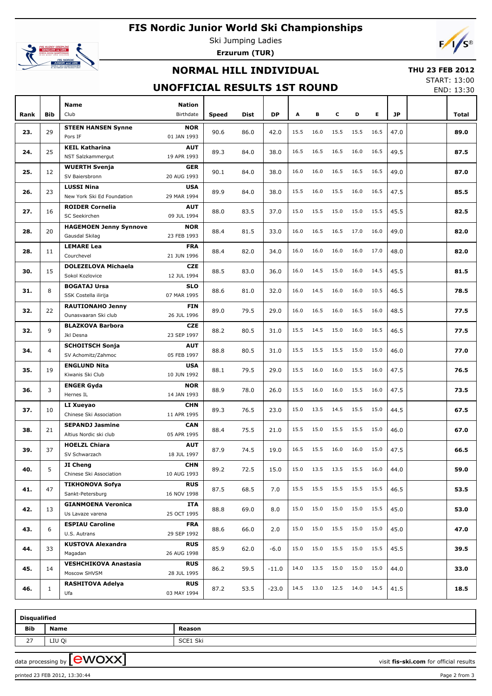# **FIS Nordic Junior World Ski Championships**



Ski Jumping Ladies **Erzurum (TUR)**



## **NORMAL HILL INDIVIDUAL**

#### **THU 23 FEB 2012**

### **UNOFFICIAL RESULTS 1ST ROUND**

START: 13:00 END: 13:30

|      |                |                                                 |                           |              |      |           |      |      |      |           |      |      | <b>LIVD. 19.90</b> |
|------|----------------|-------------------------------------------------|---------------------------|--------------|------|-----------|------|------|------|-----------|------|------|--------------------|
|      |                | Name                                            | <b>Nation</b>             |              |      |           |      |      |      |           |      |      |                    |
| Rank | <b>Bib</b>     | Club                                            | Birthdate                 | <b>Speed</b> | Dist | <b>DP</b> | A    | в    | c    | D         | E.   | JP   | Total              |
| 23.  | 29             | <b>STEEN HANSEN Synne</b><br>Pors IF            | <b>NOR</b><br>01 JAN 1993 | 90.6         | 86.0 | 42.0      | 15.5 | 16.0 | 15.5 | 15.5      | 16.5 | 47.0 | 89.0               |
| 24.  | 25             | <b>KEIL Katharina</b><br>NST Salzkammergut      | <b>AUT</b><br>19 APR 1993 | 89.3         | 84.0 | 38.0      | 16.5 | 16.5 | 16.5 | 16.0      | 16.5 | 49.5 | 87.5               |
|      |                |                                                 |                           |              |      |           |      |      |      |           |      |      |                    |
| 25.  | 12             | <b>WUERTH Svenja</b><br>SV Baiersbronn          | <b>GER</b><br>20 AUG 1993 | 90.1         | 84.0 | 38.0      | 16.0 | 16.0 | 16.5 | 16.5      | 16.5 | 49.0 | 87.0               |
| 26.  | 23             | <b>LUSSI Nina</b><br>New York Ski Ed Foundation | <b>USA</b><br>29 MAR 1994 | 89.9         | 84.0 | 38.0      | 15.5 | 16.0 | 15.5 | 16.0      | 16.5 | 47.5 | 85.5               |
| 27.  | 16             | <b>ROIDER Cornelia</b><br>SC Seekirchen         | <b>AUT</b><br>09 JUL 1994 | 88.0         | 83.5 | 37.0      | 15.0 | 15.5 | 15.0 | 15.0      | 15.5 | 45.5 | 82.5               |
|      |                | <b>HAGEMOEN Jenny Synnove</b>                   | <b>NOR</b>                |              |      |           |      |      |      |           |      |      |                    |
| 28.  | 20             | Gausdal Skilag                                  | 23 FEB 1993               | 88.4         | 81.5 | 33.0      | 16.0 | 16.5 | 16.5 | 17.0      | 16.0 | 49.0 | 82.0               |
| 28.  | 11             | <b>LEMARE Lea</b>                               | <b>FRA</b>                | 88.4         | 82.0 | 34.0      | 16.0 | 16.0 | 16.0 | 16.0      | 17.0 | 48.0 | 82.0               |
|      |                | Courchevel                                      | 21 JUN 1996               |              |      |           |      |      |      |           |      |      |                    |
| 30.  | 15             | <b>DOLEZELOVA Michaela</b><br>Sokol Kozlovice   | <b>CZE</b><br>12 JUL 1994 | 88.5         | 83.0 | 36.0      | 16.0 | 14.5 | 15.0 | 16.0      | 14.5 | 45.5 | 81.5               |
| 31.  | 8              | <b>BOGATAJ Ursa</b>                             | <b>SLO</b>                | 88.6         | 81.0 | 32.0      | 16.0 | 14.5 | 16.0 | 16.0      | 10.5 | 46.5 | 78.5               |
|      |                | SSK Costella ilirija                            | 07 MAR 1995               |              |      |           |      |      |      |           |      |      |                    |
| 32.  | 22             | <b>RAUTIONAHO Jenny</b><br>Ounasvaaran Ski club | <b>FIN</b><br>26 JUL 1996 | 89.0         | 79.5 | 29.0      | 16.0 | 16.5 | 16.0 | 16.5      | 16.0 | 48.5 | 77.5               |
|      |                | <b>BLAZKOVA Barbora</b>                         | <b>CZE</b>                |              |      |           |      |      |      |           |      |      |                    |
| 32.  | 9              | Jkl Desna                                       | 23 SEP 1997               | 88.2         | 80.5 | 31.0      | 15.5 | 14.5 | 15.0 | 16.0      | 16.5 | 46.5 | 77.5               |
| 34.  | $\overline{4}$ | <b>SCHOITSCH Sonja</b><br>SV Achomitz/Zahmoc    | <b>AUT</b><br>05 FEB 1997 | 88.8         | 80.5 | 31.0      | 15.5 | 15.5 | 15.5 | 15.0      | 15.0 | 46.0 | 77.0               |
|      |                | <b>ENGLUND Nita</b>                             | <b>USA</b>                |              |      |           |      |      |      |           |      |      |                    |
| 35.  | 19             | Kiwanis Ski Club                                | 10 JUN 1992               | 88.1         | 79.5 | 29.0      | 15.5 | 16.0 | 16.0 | 15.5      | 16.0 | 47.5 | 76.5               |
|      |                | <b>ENGER Gyda</b>                               | <b>NOR</b>                |              |      |           |      |      |      |           |      |      |                    |
| 36.  | 3              | Hernes IL                                       | 14 JAN 1993               | 88.9         | 78.0 | 26.0      | 15.5 | 16.0 | 16.0 | 15.5      | 16.0 | 47.5 | 73.5               |
|      |                | LI Xueyao                                       | <b>CHN</b>                |              |      |           |      |      |      |           |      |      |                    |
| 37.  | 10             | Chinese Ski Association                         | 11 APR 1995               | 89.3         | 76.5 | 23.0      | 15.0 | 13.5 | 14.5 | 15.5      | 15.0 | 44.5 | 67.5               |
| 38.  | 21             | <b>SEPANDJ Jasmine</b>                          | <b>CAN</b>                | 88.4         | 75.5 | 21.0      | 15.5 | 15.0 | 15.5 | 15.5      | 15.0 | 46.0 | 67.0               |
|      |                | Altius Nordic ski club                          | 05 APR 1995               |              |      |           |      |      |      |           |      |      |                    |
| 39.  | 37             | <b>HOELZL Chiara</b><br>SV Schwarzach           | <b>AUT</b><br>18 JUL 1997 | 87.9         | 74.5 | 19.0      | 16.5 | 15.5 | 16.0 | 16.0      | 15.0 | 47.5 | 66.5               |
|      |                | JI Cheng                                        | <b>CHN</b>                |              |      |           |      |      |      |           |      |      |                    |
| 40.  | 5              | Chinese Ski Association                         | 10 AUG 1993               | 89.2         | 72.5 | 15.0      | 15.0 | 13.5 | 13.5 | 15.5      | 16.0 | 44.0 | 59.0               |
| 41.  | 47             | <b>TIKHONOVA Sofya</b><br>Sankt-Petersburg      | <b>RUS</b><br>16 NOV 1998 | 87.5         | 68.5 | 7.0       | 15.5 | 15.5 | 15.5 | 15.5 15.5 |      | 46.5 | 53.5               |
|      |                | <b>GIANMOENA Veronica</b>                       | ITA                       |              |      |           |      |      |      |           |      |      |                    |
| 42.  | 13             | Us Lavaze varena                                | 25 OCT 1995               | 88.8         | 69.0 | 8.0       | 15.0 | 15.0 | 15.0 | 15.0      | 15.5 | 45.0 | 53.0               |
|      |                | <b>ESPIAU Caroline</b>                          | <b>FRA</b>                |              |      |           | 15.0 | 15.0 | 15.5 | 15.0      | 15.0 |      |                    |
| 43.  | 6              | U.S. Autrans                                    | 29 SEP 1992               | 88.6         | 66.0 | 2.0       |      |      |      |           |      | 45.0 | 47.0               |
| 44.  | 33             | <b>KUSTOVA Alexandra</b><br>Magadan             | <b>RUS</b><br>26 AUG 1998 | 85.9         | 62.0 | $-6.0$    | 15.0 | 15.0 | 15.5 | 15.0      | 15.5 | 45.5 | 39.5               |
|      |                | <b>VESHCHIKOVA Anastasia</b>                    | <b>RUS</b>                |              |      |           |      |      |      |           |      |      |                    |
| 45.  | 14             | Moscow SHVSM                                    | 28 JUL 1995               | 86.2         | 59.5 | $-11.0$   | 14.0 | 13.5 | 15.0 | 15.0      | 15.0 | 44.0 | 33.0               |
| 46.  | $\mathbf{1}$   | RASHITOVA Adelya                                | <b>RUS</b>                | 87.2         | 53.5 | $-23.0$   | 14.5 | 13.0 | 12.5 | 14.0 14.5 |      | 41.5 | 18.5               |
|      |                | Ufa                                             | 03 MAY 1994               |              |      |           |      |      |      |           |      |      |                    |

| <b>Disqualified</b> |               |          |  |  |  |  |  |  |  |
|---------------------|---------------|----------|--|--|--|--|--|--|--|
| <b>Bib</b>          | Name          | Reason   |  |  |  |  |  |  |  |
| ר ר<br>$\epsilon$   | LIU Qi        | SCE1 Ski |  |  |  |  |  |  |  |
|                     | $\equiv$<br>− |          |  |  |  |  |  |  |  |

data processing by **CWOXX**  $\blacksquare$